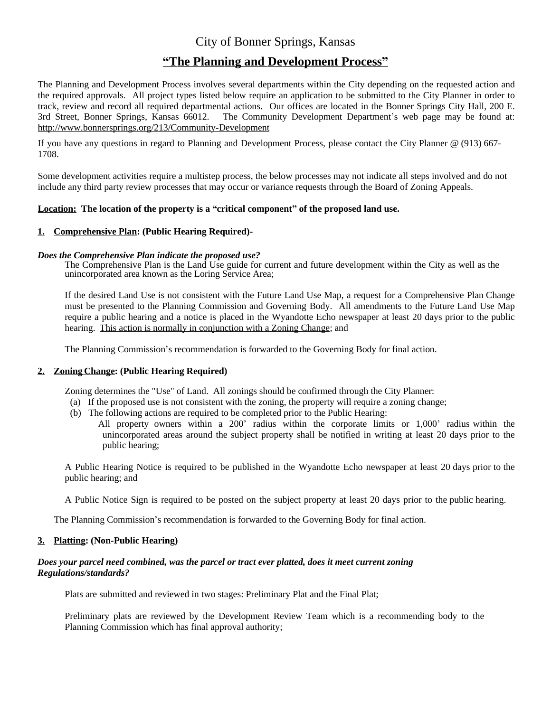# City of Bonner Springs, Kansas

# **"The Planning and Development Process"**

The Planning and Development Process involves several departments within the City depending on the requested action and the required approvals. All project types listed below require an application to be submitted to the City Planner in order to track, review and record all required departmental actions. Our offices are located in the Bonner Springs City Hall, 200 E. 3rd Street, Bonner Springs, Kansas 66012. The Community Development Department's web page may be found at: <http://www.bonnersprings.org/213/Community-Development>

If you have any questions in regard to Planning and Development Process, please contact the City Planner @ (913) 667- 1708.

Some development activities require a multistep process, the below processes may not indicate all steps involved and do not include any third party review processes that may occur or variance requests through the Board of Zoning Appeals.

# **Location: The location of the property is a "critical component" of the proposed land use.**

# **1. Comprehensive Plan: (Public Hearing Required)-**

## *Does the Comprehensive Plan indicate the proposed use?*

The Comprehensive Plan is the Land Use guide for current and future development within the City as well as the unincorporated area known as the Loring Service Area;

If the desired Land Use is not consistent with the Future Land Use Map, a request for a Comprehensive Plan Change must be presented to the Planning Commission and Governing Body. All amendments to the Future Land Use Map require a public hearing and a notice is placed in the Wyandotte Echo newspaper at least 20 days prior to the public hearing. This action is normally in conjunction with a Zoning Change; and

The Planning Commission's recommendation is forwarded to the Governing Body for final action.

## **2. Zoning Change: (Public Hearing Required)**

Zoning determines the "Use" of Land. All zonings should be confirmed through the City Planner:

- (a) If the proposed use is not consistent with the zoning, the property will require a zoning change;
- (b) The following actions are required to be completed prior to the Public Hearing:
	- All property owners within a 200' radius within the corporate limits or 1,000' radius within the unincorporated areas around the subject property shall be notified in writing at least 20 days prior to the public hearing;

A Public Hearing Notice is required to be published in the Wyandotte Echo newspaper at least 20 days prior to the public hearing; and

A Public Notice Sign is required to be posted on the subject property at least 20 days prior to the public hearing.

The Planning Commission's recommendation is forwarded to the Governing Body for final action.

## **3. Platting: (Non-Public Hearing)**

## *Does your parcel need combined, was the parcel or tract ever platted, does it meet current zoning Regulations/standards?*

Plats are submitted and reviewed in two stages: Preliminary Plat and the Final Plat;

Preliminary plats are reviewed by the Development Review Team which is a recommending body to the Planning Commission which has final approval authority;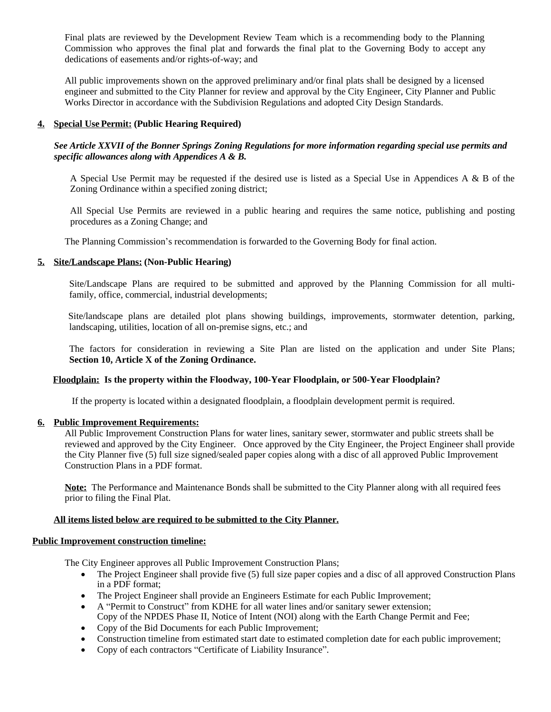Final plats are reviewed by the Development Review Team which is a recommending body to the Planning Commission who approves the final plat and forwards the final plat to the Governing Body to accept any dedications of easements and/or rights-of-way; and

All public improvements shown on the approved preliminary and/or final plats shall be designed by a licensed engineer and submitted to the City Planner for review and approval by the City Engineer, City Planner and Public Works Director in accordance with the Subdivision Regulations and adopted City Design Standards.

# **4. Special Use Permit: (Public Hearing Required)**

# See Article XXVII of the Bonner Springs Zoning Regulations for more information regarding special use permits and *specific allowances along with Appendices A & B.*

A Special Use Permit may be requested if the desired use is listed as a Special Use in Appendices A & B of the Zoning Ordinance within a specified zoning district;

All Special Use Permits are reviewed in a public hearing and requires the same notice, publishing and posting procedures as a Zoning Change; and

The Planning Commission's recommendation is forwarded to the Governing Body for final action.

# **5. Site/Landscape Plans: (Non-Public Hearing)**

Site/Landscape Plans are required to be submitted and approved by the Planning Commission for all multifamily, office, commercial, industrial developments;

Site/landscape plans are detailed plot plans showing buildings, improvements, stormwater detention, parking, landscaping, utilities, location of all on-premise signs, etc.; and

The factors for consideration in reviewing a Site Plan are listed on the application and under Site Plans; **Section 10, Article X of the Zoning Ordinance.**

## **Floodplain: Is the property within the Floodway, 100-Year Floodplain, or 500-Year Floodplain?**

If the property is located within a designated floodplain, a floodplain development permit is required.

## **6. Public Improvement Requirements:**

All Public Improvement Construction Plans for water lines, sanitary sewer, stormwater and public streets shall be reviewed and approved by the City Engineer. Once approved by the City Engineer, the Project Engineer shall provide the City Planner five (5) full size signed/sealed paper copies along with a disc of all approved Public Improvement Construction Plans in a PDF format.

**Note:** The Performance and Maintenance Bonds shall be submitted to the City Planner along with all required fees prior to filing the Final Plat.

## **All items listed below are required to be submitted to the City Planner.**

## **Public Improvement construction timeline:**

The City Engineer approves all Public Improvement Construction Plans;

- The Project Engineer shall provide five (5) full size paper copies and a disc of all approved Construction Plans in a PDF format;
- The Project Engineer shall provide an Engineers Estimate for each Public Improvement;
- A "Permit to Construct" from KDHE for all water lines and/or sanitary sewer extension; Copy of the NPDES Phase II, Notice of Intent (NOI) along with the Earth Change Permit and Fee;
- Copy of the Bid Documents for each Public Improvement;
- Construction timeline from estimated start date to estimated completion date for each public improvement;
- Copy of each contractors "Certificate of Liability Insurance".